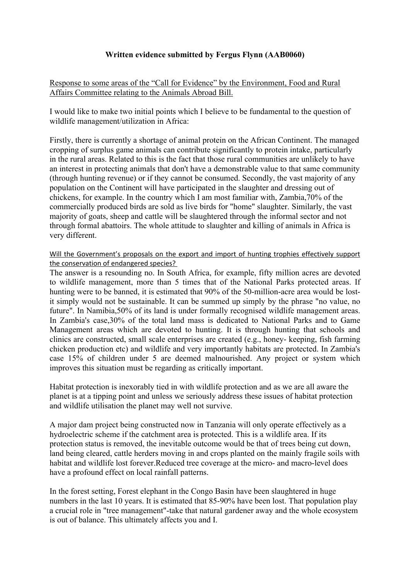## **Written evidence submitted by Fergus Flynn (AAB0060)**

Response to some areas of the "Call for Evidence" by the Environment, Food and Rural Affairs Committee relating to the Animals Abroad Bill.

I would like to make two initial points which I believe to be fundamental to the question of wildlife management/utilization in Africa:

Firstly, there is currently a shortage of animal protein on the African Continent. The managed cropping of surplus game animals can contribute significantly to protein intake, particularly in the rural areas. Related to this is the fact that those rural communities are unlikely to have an interest in protecting animals that don't have a demonstrable value to that same community (through hunting revenue) or if they cannot be consumed. Secondly, the vast majority of any population on the Continent will have participated in the slaughter and dressing out of chickens, for example. In the country which I am most familiar with, Zambia,70% of the commercially produced birds are sold as live birds for "home" slaughter. Similarly, the vast majority of goats, sheep and cattle will be slaughtered through the informal sector and not through formal abattoirs. The whole attitude to slaughter and killing of animals in Africa is very different.

Will the Government's proposals on the export and import of hunting trophies effectively support the conservation of endangered species?

The answer is a resounding no. In South Africa, for example, fifty million acres are devoted to wildlife management, more than 5 times that of the National Parks protected areas. If hunting were to be banned, it is estimated that 90% of the 50-million-acre area would be lostit simply would not be sustainable. It can be summed up simply by the phrase "no value, no future". In Namibia,50% of its land is under formally recognised wildlife management areas. In Zambia's case,30% of the total land mass is dedicated to National Parks and to Game Management areas which are devoted to hunting. It is through hunting that schools and clinics are constructed, small scale enterprises are created (e.g., honey- keeping, fish farming chicken production etc) and wildlife and very importantly habitats are protected. In Zambia's case 15% of children under 5 are deemed malnourished. Any project or system which improves this situation must be regarding as critically important.

Habitat protection is inexorably tied in with wildlife protection and as we are all aware the planet is at a tipping point and unless we seriously address these issues of habitat protection and wildlife utilisation the planet may well not survive.

A major dam project being constructed now in Tanzania will only operate effectively as a hydroelectric scheme if the catchment area is protected. This is a wildlife area. If its protection status is removed, the inevitable outcome would be that of trees being cut down, land being cleared, cattle herders moving in and crops planted on the mainly fragile soils with habitat and wildlife lost forever.Reduced tree coverage at the micro- and macro-level does have a profound effect on local rainfall patterns.

In the forest setting, Forest elephant in the Congo Basin have been slaughtered in huge numbers in the last 10 years. It is estimated that 85-90% have been lost. That population play a crucial role in "tree management"-take that natural gardener away and the whole ecosystem is out of balance. This ultimately affects you and I.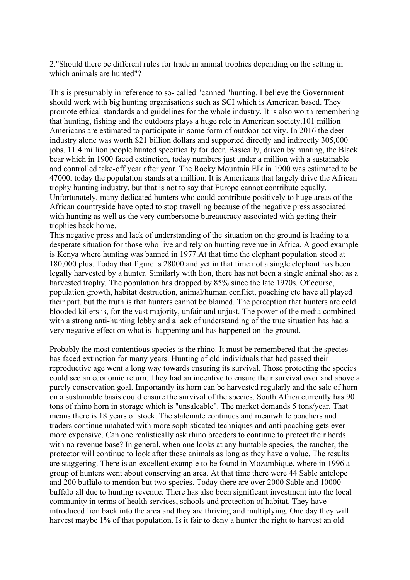2."Should there be different rules for trade in animal trophies depending on the setting in which animals are hunted"?

This is presumably in reference to so- called "canned "hunting. I believe the Government should work with big hunting organisations such as SCI which is American based. They promote ethical standards and guidelines for the whole industry. It is also worth remembering that hunting, fishing and the outdoors plays a huge role in American society.101 million Americans are estimated to participate in some form of outdoor activity. In 2016 the deer industry alone was worth \$21 billion dollars and supported directly and indirectly 305,000 jobs. 11.4 million people hunted specifically for deer. Basically, driven by hunting, the Black bear which in 1900 faced extinction, today numbers just under a million with a sustainable and controlled take-off year after year. The Rocky Mountain Elk in 1900 was estimated to be 47000, today the population stands at a million. It is Americans that largely drive the African trophy hunting industry, but that is not to say that Europe cannot contribute equally. Unfortunately, many dedicated hunters who could contribute positively to huge areas of the African countryside have opted to stop travelling because of the negative press associated with hunting as well as the very cumbersome bureaucracy associated with getting their trophies back home.

This negative press and lack of understanding of the situation on the ground is leading to a desperate situation for those who live and rely on hunting revenue in Africa. A good example is Kenya where hunting was banned in 1977.At that time the elephant population stood at 180,000 plus. Today that figure is 28000 and yet in that time not a single elephant has been legally harvested by a hunter. Similarly with lion, there has not been a single animal shot as a harvested trophy. The population has dropped by 85% since the late 1970s. Of course, population growth, habitat destruction, animal/human conflict, poaching etc have all played their part, but the truth is that hunters cannot be blamed. The perception that hunters are cold blooded killers is, for the vast majority, unfair and unjust. The power of the media combined with a strong anti-hunting lobby and a lack of understanding of the true situation has had a very negative effect on what is happening and has happened on the ground.

Probably the most contentious species is the rhino. It must be remembered that the species has faced extinction for many years. Hunting of old individuals that had passed their reproductive age went a long way towards ensuring its survival. Those protecting the species could see an economic return. They had an incentive to ensure their survival over and above a purely conservation goal. Importantly its horn can be harvested regularly and the sale of horn on a sustainable basis could ensure the survival of the species. South Africa currently has 90 tons of rhino horn in storage which is "unsaleable". The market demands 5 tons/year. That means there is 18 years of stock. The stalemate continues and meanwhile poachers and traders continue unabated with more sophisticated techniques and anti poaching gets ever more expensive. Can one realistically ask rhino breeders to continue to protect their herds with no revenue base? In general, when one looks at any huntable species, the rancher, the protector will continue to look after these animals as long as they have a value. The results are staggering. There is an excellent example to be found in Mozambique, where in 1996 a group of hunters went about conserving an area. At that time there were 44 Sable antelope and 200 buffalo to mention but two species. Today there are over 2000 Sable and 10000 buffalo all due to hunting revenue. There has also been significant investment into the local community in terms of health services, schools and protection of habitat. They have introduced lion back into the area and they are thriving and multiplying. One day they will harvest maybe 1% of that population. Is it fair to deny a hunter the right to harvest an old